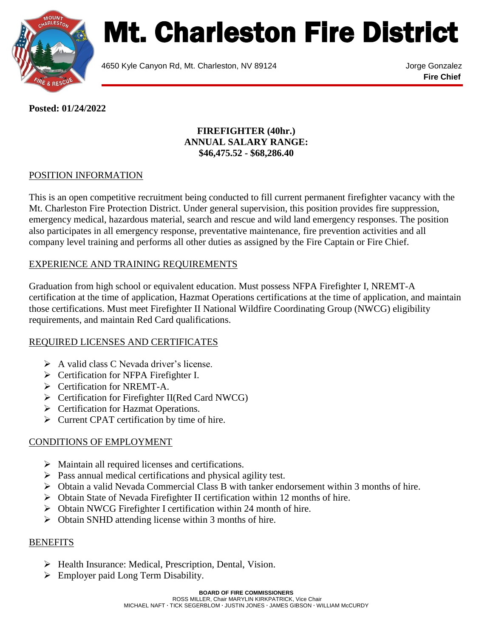

# Mt. Charleston Fire District

4650 Kyle Canyon Rd, Mt. Charleston, NV 89124 Jorge Gonzalez

**Fire Chief**

**Posted: 01/24/2022**

#### **FIREFIGHTER (40hr.) ANNUAL SALARY RANGE: \$46,475.52 - \$68,286.40**

# POSITION INFORMATION

This is an open competitive recruitment being conducted to fill current permanent firefighter vacancy with the Mt. Charleston Fire Protection District. Under general supervision, this position provides fire suppression, emergency medical, hazardous material, search and rescue and wild land emergency responses. The position also participates in all emergency response, preventative maintenance, fire prevention activities and all company level training and performs all other duties as assigned by the Fire Captain or Fire Chief.

### EXPERIENCE AND TRAINING REQUIREMENTS

Graduation from high school or equivalent education. Must possess NFPA Firefighter I, NREMT-A certification at the time of application, Hazmat Operations certifications at the time of application, and maintain those certifications. Must meet Firefighter II National Wildfire Coordinating Group (NWCG) eligibility requirements, and maintain Red Card qualifications.

#### REQUIRED LICENSES AND CERTIFICATES

- $\triangleright$  A valid class C Nevada driver's license.
- > Certification for NFPA Firefighter I.
- **►** Certification for NREMT-A.
- Certification for Firefighter II(Red Card NWCG)
- **EXECUTE:** Certification for Hazmat Operations.
- $\triangleright$  Current CPAT certification by time of hire.

# CONDITIONS OF EMPLOYMENT

- $\triangleright$  Maintain all required licenses and certifications.
- $\triangleright$  Pass annual medical certifications and physical agility test.
- Obtain a valid Nevada Commercial Class B with tanker endorsement within 3 months of hire.
- $\triangleright$  Obtain State of Nevada Firefighter II certification within 12 months of hire.
- Obtain NWCG Firefighter I certification within 24 month of hire.
- $\triangleright$  Obtain SNHD attending license within 3 months of hire.

#### BENEFITS

- > Health Insurance: Medical, Prescription, Dental, Vision.
- **Employer paid Long Term Disability.**